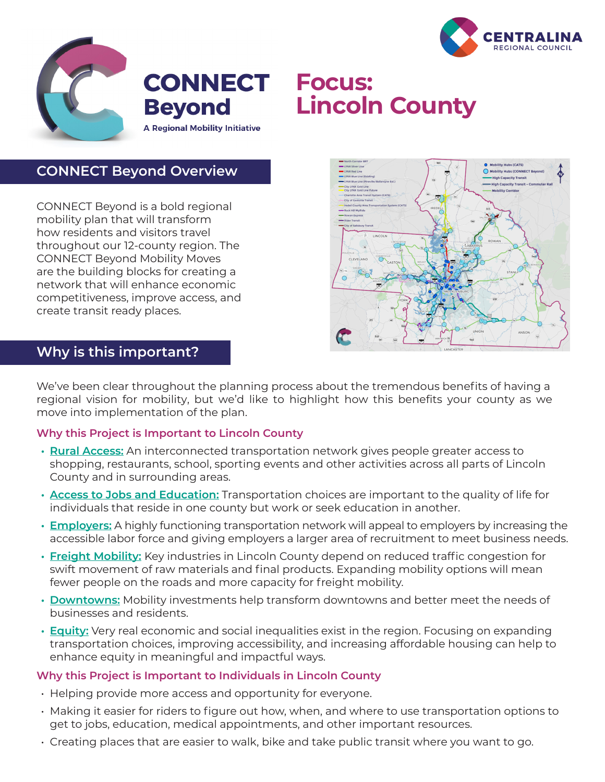



**CONNECT Beyond** 

# **Focus: Lincoln County**

**CONNECT Beyond Overview**

CONNECT Beyond is a bold regional mobility plan that will transform how residents and visitors travel throughout our 12-county region. The CONNECT Beyond Mobility Moves are the building blocks for creating a network that will enhance economic competitiveness, improve access, and create transit ready places.



### **Why is this important?**

We've been clear throughout the planning process about the tremendous benefits of having a regional vision for mobility, but we'd like to highlight how this benefits your county as we move into implementation of the plan.

#### **Why this Project is Important to Lincoln County**

- **• Rural Access:** An interconnected transportation network gives people greater access to shopping, restaurants, school, sporting events and other activities across all parts of Lincoln County and in surrounding areas.
- **• Access to Jobs and Education:** Transportation choices are important to the quality of life for individuals that reside in one county but work or seek education in another.
- **• Employers:** A highly functioning transportation network will appeal to employers by increasing the accessible labor force and giving employers a larger area of recruitment to meet business needs.
- **• Freight Mobility:** Key industries in Lincoln County depend on reduced traffic congestion for swift movement of raw materials and final products. Expanding mobility options will mean fewer people on the roads and more capacity for freight mobility.
- **• Downtowns:** Mobility investments help transform downtowns and better meet the needs of businesses and residents.
- **• Equity:** Very real economic and social inequalities exist in the region. Focusing on expanding transportation choices, improving accessibility, and increasing affordable housing can help to enhance equity in meaningful and impactful ways.

#### **Why this Project is Important to Individuals in Lincoln County**

- Helping provide more access and opportunity for everyone.
- Making it easier for riders to figure out how, when, and where to use transportation options to get to jobs, education, medical appointments, and other important resources.
- Creating places that are easier to walk, bike and take public transit where you want to go.